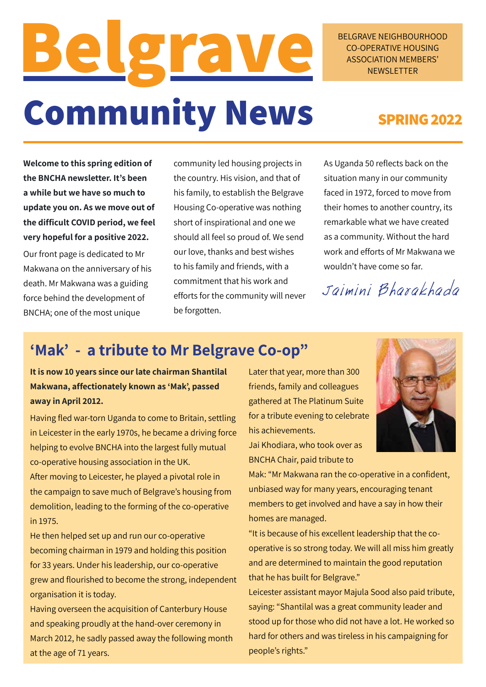# **Belgrave Community News**

BELGRAVE NEIGHBOURHOOD CO-OPERATIVE HOUSING ASSOCIATION MEMBERS' **NEWSLETTER** 

### **SPRING 2022**

**Welcome to this spring edition of the BNCHA newsletter. It's been a while but we have so much to update you on. As we move out of the difficult COVID period, we feel very hopeful for a positive 2022.**

Our front page is dedicated to Mr Makwana on the anniversary of his death. Mr Makwana was a guiding force behind the development of BNCHA; one of the most unique

community led housing projects in the country. His vision, and that of his family, to establish the Belgrave Housing Co-operative was nothing short of inspirational and one we should all feel so proud of. We send our love, thanks and best wishes to his family and friends, with a commitment that his work and efforts for the community will never be forgotten.

As Uganda 50 reflects back on the situation many in our community faced in 1972, forced to move from their homes to another country, its remarkable what we have created as a community. Without the hard work and efforts of Mr Makwana we wouldn't have come so far.

Jaimini Bharakhada

### **'Mak' - a tribute to Mr Belgrave Co-op"**

**It is now 10 years since our late chairman Shantilal Makwana, affectionately known as 'Mak', passed away in April 2012.** 

Having fled war-torn Uganda to come to Britain, settling in Leicester in the early 1970s, he became a driving force helping to evolve BNCHA into the largest fully mutual co-operative housing association in the UK. After moving to Leicester, he played a pivotal role in

the campaign to save much of Belgrave's housing from demolition, leading to the forming of the co-operative in 1975.

He then helped set up and run our co-operative becoming chairman in 1979 and holding this position for 33 years. Under his leadership, our co-operative grew and flourished to become the strong, independent organisation it is today.

Having overseen the acquisition of Canterbury House and speaking proudly at the hand-over ceremony in March 2012, he sadly passed away the following month at the age of 71 years.

Later that year, more than 300 friends, family and colleagues gathered at The Platinum Suite for a tribute evening to celebrate his achievements.



Mak: "Mr Makwana ran the co-operative in a confident, unbiased way for many years, encouraging tenant members to get involved and have a say in how their homes are managed.

"It is because of his excellent leadership that the cooperative is so strong today. We will all miss him greatly and are determined to maintain the good reputation that he has built for Belgrave."

Leicester assistant mayor Majula Sood also paid tribute, saying: "Shantilal was a great community leader and stood up for those who did not have a lot. He worked so hard for others and was tireless in his campaigning for people's rights."

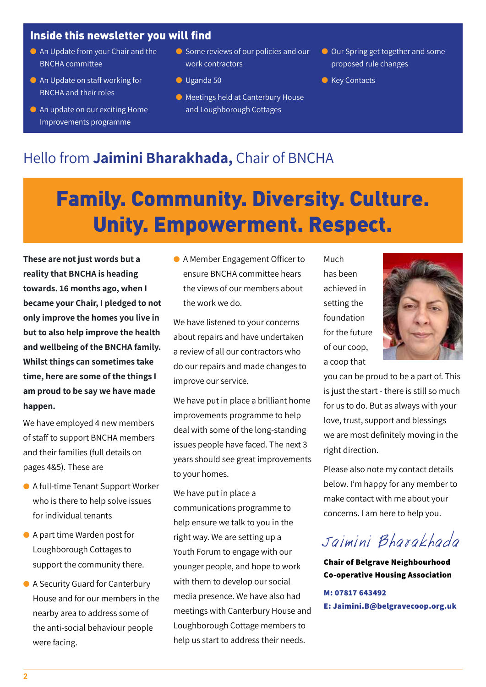#### Inside this newsletter you will find

- **An Update from your Chair and the** BNCHA committee
- An Update on staff working for BNCHA and their roles
- $\bullet$  An update on our exciting Home Improvements programme
- **C** Some reviews of our policies and our work contractors
- l Uganda 50
- **C** Meetings held at Canterbury House and Loughborough Cottages
- Our Spring get together and some proposed rule changes
- **C** Key Contacts

### Hello from **Jaimini Bharakhada,** Chair of BNCHA

## Family. Community. Diversity. Culture. Unity. Empowerment. Respect.

**These are not just words but a reality that BNCHA is heading towards. 16 months ago, when I became your Chair, I pledged to not only improve the homes you live in but to also help improve the health and wellbeing of the BNCHA family. Whilst things can sometimes take time, here are some of the things I am proud to be say we have made happen.**

We have employed 4 new members of staff to support BNCHA members and their families (full details on pages 4&5). These are

- A full-time Tenant Support Worker who is there to help solve issues for individual tenants
- A part time Warden post for Loughborough Cottages to support the community there.
- A Security Guard for Canterbury House and for our members in the nearby area to address some of the anti-social behaviour people were facing.

● A Member Engagement Officer to ensure BNCHA committee hears the views of our members about the work we do.

We have listened to your concerns about repairs and have undertaken a review of all our contractors who do our repairs and made changes to improve our service.

We have put in place a brilliant home improvements programme to help deal with some of the long-standing issues people have faced. The next 3 years should see great improvements to your homes.

We have put in place a communications programme to help ensure we talk to you in the right way. We are setting up a Youth Forum to engage with our younger people, and hope to work with them to develop our social media presence. We have also had meetings with Canterbury House and Loughborough Cottage members to help us start to address their needs.

Much has been achieved in setting the foundation for the future of our coop, a coop that



you can be proud to be a part of. This is just the start - there is still so much for us to do. But as always with your love, trust, support and blessings we are most definitely moving in the right direction.

Please also note my contact details below. I'm happy for any member to make contact with me about your concerns. I am here to help you.

## Jaimini Bharakhada

**Chair of Belgrave Neighbourhood Co-operative Housing Association**

**M: 07817 643492 E: Jaimini.B@belgravecoop.org.uk**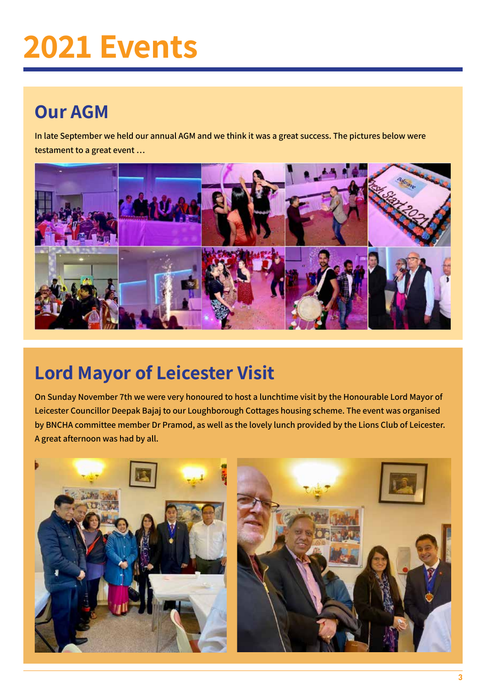## **2021 Events**

## **Our AGM**

**In late September we held our annual AGM and we think it was a great success. The pictures below were testament to a great event …**



## **Lord Mayor of Leicester Visit**

**On Sunday November 7th we were very honoured to host a lunchtime visit by the Honourable Lord Mayor of Leicester Councillor Deepak Bajaj to our Loughborough Cottages housing scheme. The event was organised by BNCHA committee member Dr Pramod, as well as the lovely lunch provided by the Lions Club of Leicester. A great afternoon was had by all.**

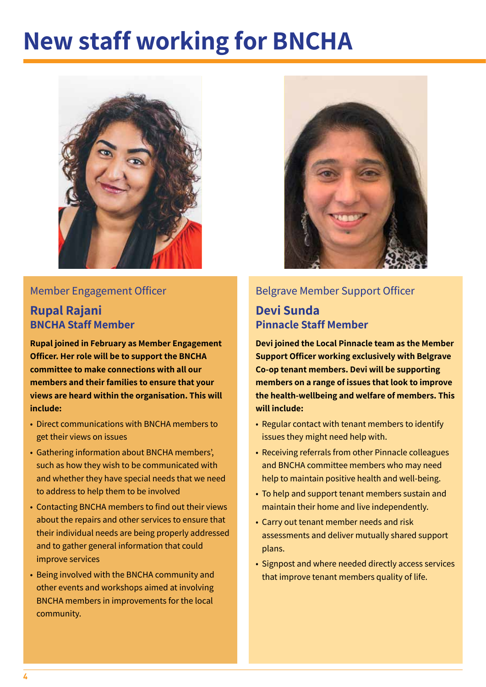## **New staff working for BNCHA**



#### Member Engagement Officer

#### **Rupal Rajani BNCHA Staff Member**

**Rupal joined in February as Member Engagement Officer. Her role will be to support the BNCHA committee to make connections with all our members and their families to ensure that your views are heard within the organisation. This will include:** 

- Direct communications with BNCHA members to get their views on issues
- Gathering information about BNCHA members', such as how they wish to be communicated with and whether they have special needs that we need to address to help them to be involved
- Contacting BNCHA members to find out their views about the repairs and other services to ensure that their individual needs are being properly addressed and to gather general information that could improve services
- Being involved with the BNCHA community and other events and workshops aimed at involving BNCHA members in improvements for the local community.



#### Belgrave Member Support Officer

#### **Devi Sunda Pinnacle Staff Member**

**Devi joined the Local Pinnacle team as the Member Support Officer working exclusively with Belgrave Co-op tenant members. Devi will be supporting members on a range of issues that look to improve the health-wellbeing and welfare of members. This will include:**

- Regular contact with tenant members to identify issues they might need help with.
- Receiving referrals from other Pinnacle colleagues and BNCHA committee members who may need help to maintain positive health and well-being.
- To help and support tenant members sustain and maintain their home and live independently.
- Carry out tenant member needs and risk assessments and deliver mutually shared support plans.
- Signpost and where needed directly access services that improve tenant members quality of life.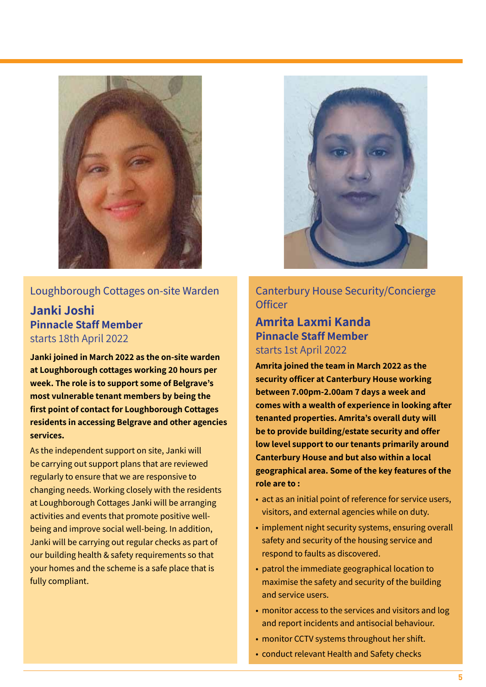

#### Loughborough Cottages on-site Warden

**Janki Joshi Pinnacle Staff Member**  starts 18th April 2022

**Janki joined in March 2022 as the on-site warden at Loughborough cottages working 20 hours per week. The role is to support some of Belgrave's most vulnerable tenant members by being the first point of contact for Loughborough Cottages residents in accessing Belgrave and other agencies services.**

As the independent support on site, Janki will be carrying out support plans that are reviewed regularly to ensure that we are responsive to changing needs. Working closely with the residents at Loughborough Cottages Janki will be arranging activities and events that promote positive wellbeing and improve social well-being. In addition, Janki will be carrying out regular checks as part of our building health & safety requirements so that your homes and the scheme is a safe place that is fully compliant.



Canterbury House Security/Concierge **Officer** 

#### **Amrita Laxmi Kanda Pinnacle Staff Member**  starts 1st April 2022

**Amrita joined the team in March 2022 as the security officer at Canterbury House working between 7.00pm-2.00am 7 days a week and comes with a wealth of experience in looking after tenanted properties. Amrita's overall duty will be to provide building/estate security and offer low level support to our tenants primarily around Canterbury House and but also within a local geographical area. Some of the key features of the role are to :**

- act as an initial point of reference for service users, visitors, and external agencies while on duty.
- implement night security systems, ensuring overall safety and security of the housing service and respond to faults as discovered.
- patrol the immediate geographical location to maximise the safety and security of the building and service users.
- monitor access to the services and visitors and log and report incidents and antisocial behaviour.
- monitor CCTV systems throughout her shift.
- conduct relevant Health and Safety checks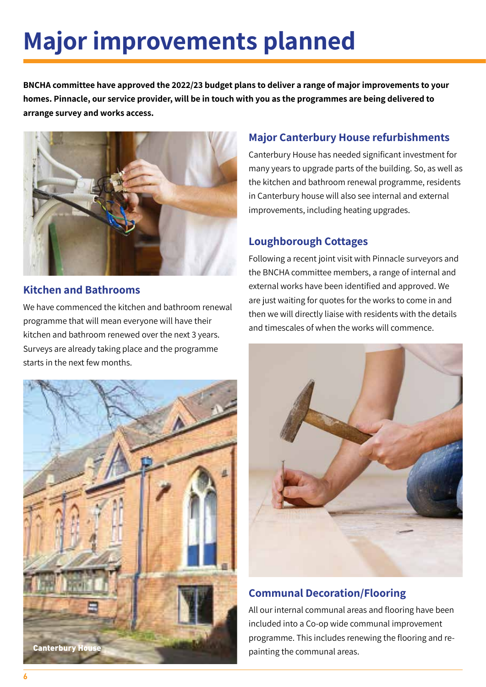## **Major improvements planned**

**BNCHA committee have approved the 2022/23 budget plans to deliver a range of major improvements to your homes. Pinnacle, our service provider, will be in touch with you as the programmes are being delivered to arrange survey and works access.**



#### **Kitchen and Bathrooms**

We have commenced the kitchen and bathroom renewal programme that will mean everyone will have their kitchen and bathroom renewed over the next 3 years. Surveys are already taking place and the programme starts in the next few months.



#### **Major Canterbury House refurbishments**

Canterbury House has needed significant investment for many years to upgrade parts of the building. So, as well as the kitchen and bathroom renewal programme, residents in Canterbury house will also see internal and external improvements, including heating upgrades.

#### **Loughborough Cottages**

Following a recent joint visit with Pinnacle surveyors and the BNCHA committee members, a range of internal and external works have been identified and approved. We are just waiting for quotes for the works to come in and then we will directly liaise with residents with the details and timescales of when the works will commence.



#### **Communal Decoration/Flooring**

All our internal communal areas and flooring have been included into a Co-op wide communal improvement programme. This includes renewing the flooring and repainting the communal areas.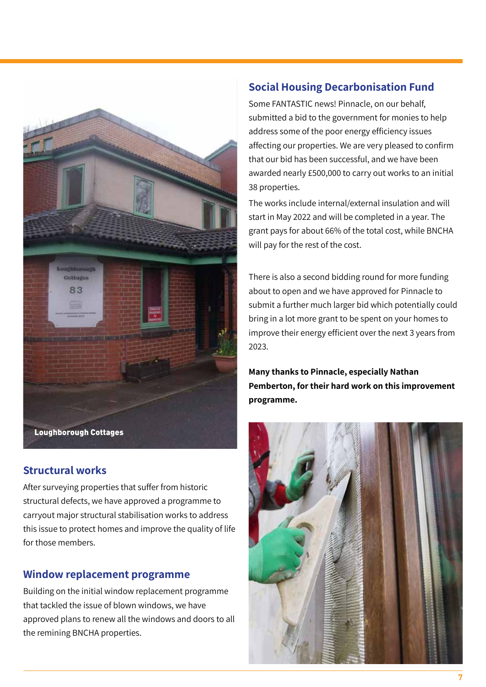

#### **Structural works**

After surveying properties that suffer from historic structural defects, we have approved a programme to carryout major structural stabilisation works to address this issue to protect homes and improve the quality of life for those members.

#### **Window replacement programme**

Building on the initial window replacement programme that tackled the issue of blown windows, we have approved plans to renew all the windows and doors to all the remining BNCHA properties.

#### **Social Housing Decarbonisation Fund**

Some FANTASTIC news! Pinnacle, on our behalf, submitted a bid to the government for monies to help address some of the poor energy efficiency issues affecting our properties. We are very pleased to confirm that our bid has been successful, and we have been awarded nearly £500,000 to carry out works to an initial 38 properties.

The works include internal/external insulation and will start in May 2022 and will be completed in a year. The grant pays for about 66% of the total cost, while BNCHA will pay for the rest of the cost.

There is also a second bidding round for more funding about to open and we have approved for Pinnacle to submit a further much larger bid which potentially could bring in a lot more grant to be spent on your homes to improve their energy efficient over the next 3 years from 2023.

**Many thanks to Pinnacle, especially Nathan Pemberton, for their hard work on this improvement programme.** 

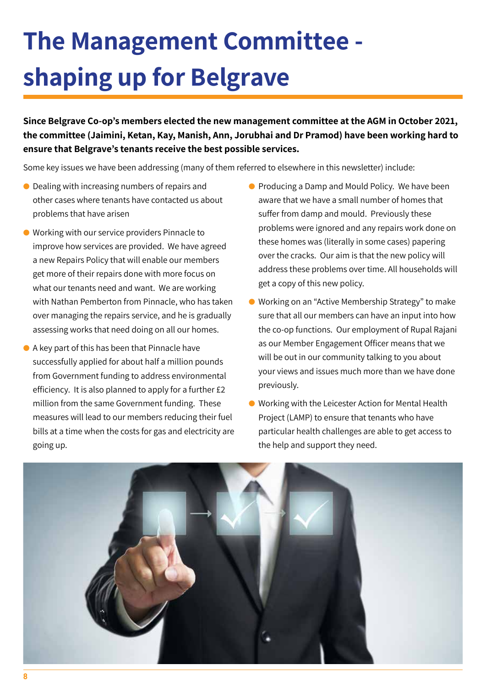## **The Management Committee shaping up for Belgrave**

**Since Belgrave Co-op's members elected the new management committee at the AGM in October 2021, the committee (Jaimini, Ketan, Kay, Manish, Ann, Jorubhai and Dr Pramod) have been working hard to ensure that Belgrave's tenants receive the best possible services.**

Some key issues we have been addressing (many of them referred to elsewhere in this newsletter) include:

- $\bullet$  Dealing with increasing numbers of repairs and other cases where tenants have contacted us about problems that have arisen
- **.** Working with our service providers Pinnacle to improve how services are provided. We have agreed a new Repairs Policy that will enable our members get more of their repairs done with more focus on what our tenants need and want. We are working with Nathan Pemberton from Pinnacle, who has taken over managing the repairs service, and he is gradually assessing works that need doing on all our homes.
- l A key part of this has been that Pinnacle have successfully applied for about half a million pounds from Government funding to address environmental efficiency. It is also planned to apply for a further £2 million from the same Government funding. These measures will lead to our members reducing their fuel bills at a time when the costs for gas and electricity are going up.
- **•** Producing a Damp and Mould Policy. We have been aware that we have a small number of homes that suffer from damp and mould. Previously these problems were ignored and any repairs work done on these homes was (literally in some cases) papering over the cracks. Our aim is that the new policy will address these problems over time. All households will get a copy of this new policy.
- Working on an "Active Membership Strategy" to make sure that all our members can have an input into how the co-op functions. Our employment of Rupal Rajani as our Member Engagement Officer means that we will be out in our community talking to you about your views and issues much more than we have done previously.
- Working with the Leicester Action for Mental Health Project (LAMP) to ensure that tenants who have particular health challenges are able to get access to the help and support they need.

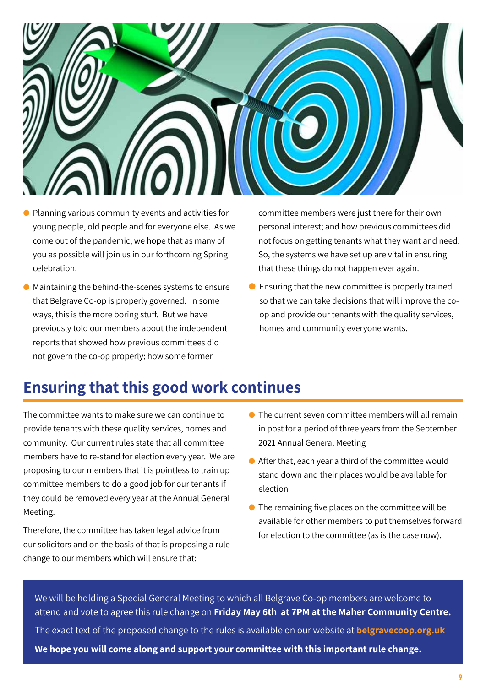

- $\bullet$  Planning various community events and activities for young people, old people and for everyone else. As we come out of the pandemic, we hope that as many of you as possible will join us in our forthcoming Spring celebration.
- $\bullet$  Maintaining the behind-the-scenes systems to ensure that Belgrave Co-op is properly governed. In some ways, this is the more boring stuff. But we have previously told our members about the independent reports that showed how previous committees did not govern the co-op properly; how some former

committee members were just there for their own personal interest; and how previous committees did not focus on getting tenants what they want and need. So, the systems we have set up are vital in ensuring that these things do not happen ever again.

 $\bullet$  Ensuring that the new committee is properly trained so that we can take decisions that will improve the coop and provide our tenants with the quality services, homes and community everyone wants.

### **Ensuring that this good work continues**

The committee wants to make sure we can continue to provide tenants with these quality services, homes and community. Our current rules state that all committee members have to re-stand for election every year. We are proposing to our members that it is pointless to train up committee members to do a good job for our tenants if they could be removed every year at the Annual General Meeting.

Therefore, the committee has taken legal advice from our solicitors and on the basis of that is proposing a rule change to our members which will ensure that:

- $\bullet$  The current seven committee members will all remain in post for a period of three years from the September 2021 Annual General Meeting
- $\bullet$  After that, each year a third of the committee would stand down and their places would be available for election
- $\bullet$  The remaining five places on the committee will be available for other members to put themselves forward for election to the committee (as is the case now).

We will be holding a Special General Meeting to which all Belgrave Co-op members are welcome to attend and vote to agree this rule change on **Friday May 6th at 7PM at the Maher Community Centre.**  The exact text of the proposed change to the rules is available on our website at **belgravecoop.org.uk We hope you will come along and support your committee with this important rule change.**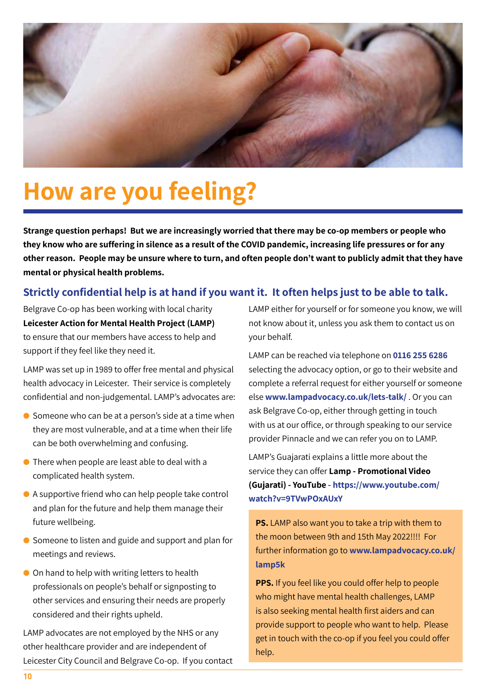

## **How are you feeling?**

**Strange question perhaps! But we are increasingly worried that there may be co-op members or people who they know who are suffering in silence as a result of the COVID pandemic, increasing life pressures or for any other reason. People may be unsure where to turn, and often people don't want to publicly admit that they have mental or physical health problems.** 

#### **Strictly confidential help is at hand if you want it. It often helps just to be able to talk.**

Belgrave Co-op has been working with local charity **Leicester Action for Mental Health Project (LAMP)**  to ensure that our members have access to help and support if they feel like they need it.

LAMP was set up in 1989 to offer free mental and physical health advocacy in Leicester. Their service is completely confidential and non-judgemental. LAMP's advocates are:

- $\bullet$  Someone who can be at a person's side at a time when they are most vulnerable, and at a time when their life can be both overwhelming and confusing.
- $\bullet$  There when people are least able to deal with a complicated health system.
- $\bullet$  A supportive friend who can help people take control and plan for the future and help them manage their future wellbeing.
- $\bullet$  Someone to listen and guide and support and plan for meetings and reviews.
- $\bullet$  On hand to help with writing letters to health professionals on people's behalf or signposting to other services and ensuring their needs are properly considered and their rights upheld.

LAMP advocates are not employed by the NHS or any other healthcare provider and are independent of Leicester City Council and Belgrave Co-op. If you contact LAMP either for yourself or for someone you know, we will not know about it, unless you ask them to contact us on your behalf.

LAMP can be reached via telephone on **0116 255 6286**  selecting the advocacy option, or go to their website and complete a referral request for either yourself or someone else **www.lampadvocacy.co.uk/lets-talk/** . Or you can ask Belgrave Co-op, either through getting in touch with us at our office, or through speaking to our service provider Pinnacle and we can refer you on to LAMP.

LAMP's Guajarati explains a little more about the service they can offer **Lamp - Promotional Video (Gujarati) - YouTube - https://www.youtube.com/ watch?v=9TVwPOxAUxY**

**PS.** LAMP also want you to take a trip with them to the moon between 9th and 15th May 2022!!!! For further information go to **www.lampadvocacy.co.uk/ lamp5k**

**PPS.** If you feel like you could offer help to people who might have mental health challenges, LAMP is also seeking mental health first aiders and can provide support to people who want to help. Please get in touch with the co-op if you feel you could offer help.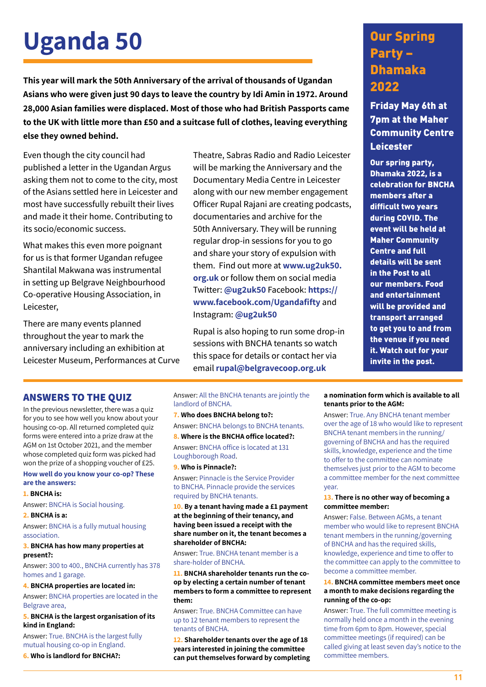## Uganda 50 Our Spring

**This year will mark the 50th Anniversary of the arrival of thousands of Ugandan Asians who were given just 90 days to leave the country by Idi Amin in 1972. Around 28,000 Asian families were displaced. Most of those who had British Passports came to the UK with little more than £50 and a suitcase full of clothes, leaving everything else they owned behind.** 

Even though the city council had published a letter in the Ugandan Argus asking them not to come to the city, most of the Asians settled here in Leicester and most have successfully rebuilt their lives and made it their home. Contributing to its socio/economic success.

What makes this even more poignant for us is that former Ugandan refugee Shantilal Makwana was instrumental in setting up Belgrave Neighbourhood Co-operative Housing Association, in Leicester,

There are many events planned throughout the year to mark the anniversary including an exhibition at Leicester Museum, Performances at Curve Theatre, Sabras Radio and Radio Leicester will be marking the Anniversary and the Documentary Media Centre in Leicester along with our new member engagement Officer Rupal Rajani are creating podcasts, documentaries and archive for the 50th Anniversary. They will be running regular drop-in sessions for you to go and share your story of expulsion with them. Find out more at **www.ug2uk50. org.uk** or follow them on social media Twitter: **@ug2uk50** Facebook: **https:// www.facebook.com/Ugandafifty** and Instagram: **@ug2uk50**

Rupal is also hoping to run some drop-in sessions with BNCHA tenants so watch this space for details or contact her via email **rupal@belgravecoop.org.uk**

### Party – Dhamaka 2022

Friday May 6th at 7pm at the Maher Community Centre **Leicester** 

Our spring party, Dhamaka 2022, is a celebration for BNCHA members after a difficult two years during COVID. The event will be held at Maher Community Centre and full details will be sent in the Post to all our members. Food and entertainment will be provided and transport arranged to get you to and from the venue if you need it. Watch out for your invite in the post.

#### **ANSWERS TO THE QUIZ**

In the previous newsletter, there was a quiz for you to see how well you know about your housing co-op. All returned completed quiz forms were entered into a prize draw at the AGM on 1st October 2021, and the member whose completed quiz form was picked had won the prize of a shopping voucher of £25.

#### **How well do you know your co-op? These are the answers:**

#### **1. BNCHA is:**

Answer: BNCHA is Social housing.

#### **2. BNCHA is a:**

Answer: BNCHA is a fully mutual housing association.

#### **3. BNCHA has how many properties at present?:**

Answer: 300 to 400., BNCHA currently has 378 homes and 1 garage.

#### **4. BNCHA properties are located in:**

Answer: BNCHA properties are located in the Belgrave area,

#### **5. BNCHA is the largest organisation of its kind in England:**

Answer: True. BNCHA is the largest fully mutual housing co-op in England.

**6. Who is landlord for BNCHA?:** 

Answer: All the BNCHA tenants are jointly the landlord of BNCHA.

**7. Who does BNCHA belong to?:** 

Answer: BNCHA belongs to BNCHA tenants. **8. Where is the BNCHA office located?:** 

Answer: BNCHA office is located at 131 Loughborough Road.

#### **9. Who is Pinnacle?:**

Answer: Pinnacle is the Service Provider to BNCHA. Pinnacle provide the services required by BNCHA tenants.

**10. By a tenant having made a £1 payment at the beginning of their tenancy, and having been issued a receipt with the share number on it, the tenant becomes a shareholder of BNCHA:** 

#### Answer: True. BNCHA tenant member is a share-holder of BNCHA.

**11. BNCHA shareholder tenants run the coop by electing a certain number of tenant members to form a committee to represent them:** 

Answer: True. BNCHA Committee can have up to 12 tenant members to represent the tenants of BNCHA.

**12. Shareholder tenants over the age of 18 years interested in joining the committee can put themselves forward by completing** 

#### **a nomination form which is available to all tenants prior to the AGM:**

Answer: True. Any BNCHA tenant member over the age of 18 who would like to represent BNCHA tenant members in the running/ governing of BNCHA and has the required skills, knowledge, experience and the time to offer to the committee can nominate themselves just prior to the AGM to become a committee member for the next committee year.

#### **13. There is no other way of becoming a committee member:**

Answer: False. Between AGMs, a tenant member who would like to represent BNCHA tenant members in the running/governing of BNCHA and has the required skills, knowledge, experience and time to offer to the committee can apply to the committee to become a committee member.

#### **14. BNCHA committee members meet once a month to make decisions regarding the running of the co-op:**

Answer: True. The full committee meeting is normally held once a month in the evening time from 6pm to 8pm. However, special committee meetings (if required) can be called giving at least seven day's notice to the committee members.